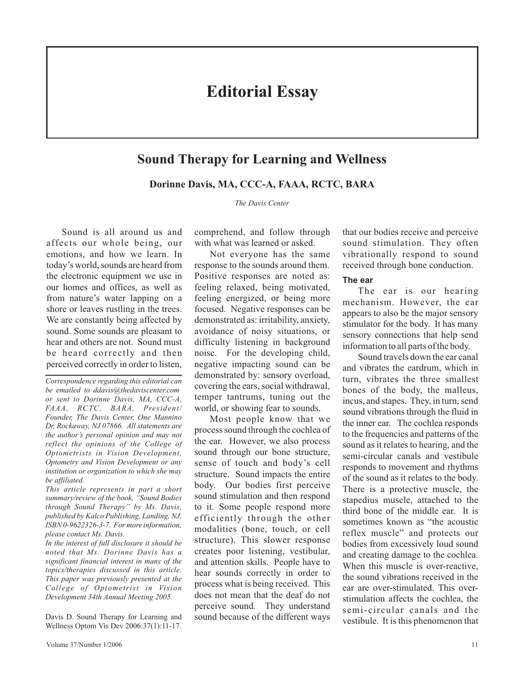# **Editorial Essay**

## **Sound Therapy for Learning and Wellness**

**Dorinne Davis, MA, CCC-A, FAAA, RCTC, BARA**

*The Davis Center*

Sound is all around us and affects our whole being, our emotions, and how we learn. In today's world, sounds are heard from the electronic equipment we use in our homes and offices, as well as from nature's water lapping on a shore or leaves rustling in the trees. We are constantly being affected by sound. Some sounds are pleasant to hear and others are not. Sound must be heard correctly and then perceived correctly in order to listen,

*Correspondence regarding this editorial can be emailed to ddavis@thedaviscenter.com or sent to Dorinne Davis, MA, CCC-A, FAAA, RCTC, BARA, President/ Founder, The Davis Center, One Mannino Dr, Rockaway, NJ 07866. All statements are the author's personal opinion and may not reflect the opinions of the College of Optometrists in Vision Development, Optometry and Vision Development or any institution or organization to which she may be affiliated.*

*This article represents in part a short summary/review of the book, "Sound Bodies through Sound Therapy" by Ms. Davis, published by Kalco Publishing, Landing, NJ, ISBN 0-9622326-3-7. For more information, please contact Ms. Davis.*

*In the interest of full disclosure it should be noted that Ms. Dorinne Davis has a significant financial interest in many of the topics/therapies discussed in this article. This paper was previously presented at the College of Optometrist in Vision Development 34th Annual Meeting 2005.*

Davis D. Sound Therapy for Learning and Wellness Optom Vis Dev 2006:37(1):11-17.

comprehend, and follow through with what was learned or asked.

Not everyone has the same response to the sounds around them. Positive responses are noted as: feeling relaxed, being motivated, feeling energized, or being more focused. Negative responses can be demonstrated as: irritability, anxiety, avoidance of noisy situations, or difficulty listening in background noise. For the developing child, negative impacting sound can be demonstrated by: sensory overload, covering the ears, social withdrawal, temper tantrums, tuning out the world, or showing fear to sounds.

Most people know that we process sound through the cochlea of the ear. However, we also process sound through our bone structure, sense of touch and body's cell structure. Sound impacts the entire body. Our bodies first perceive sound stimulation and then respond to it. Some people respond more efficiently through the other modalities (bone, touch, or cell structure). This slower response creates poor listening, vestibular, and attention skills. People have to hear sounds correctly in order to process what is being received. This does not mean that the deaf do not perceive sound. They understand sound because of the different ways

that our bodies receive and perceive sound stimulation. They often vibrationally respond to sound received through bone conduction.

#### **The ear**

The ear is our hearing mechanism. However, the ear appears to also be the major sensory stimulator for the body. It has many sensory connections that help send information to all parts of the body.

Sound travels down the ear canal and vibrates the eardrum, which in turn, vibrates the three smallest bones of the body, the malleus, incus, and stapes. They, in turn, send sound vibrations through the fluid in the inner ear. The cochlea responds to the frequencies and patterns of the sound as it relates to hearing, and the semi-circular canals and vestibule responds to movement and rhythms of the sound as it relates to the body. There is a protective muscle, the stapedius muscle, attached to the third bone of the middle ear. It is sometimes known as "the acoustic reflex muscle" and protects our bodies from excessively loud sound and creating damage to the cochlea. When this muscle is over-reactive, the sound vibrations received in the ear are over-stimulated. This overstimulation affects the cochlea, the semi-circular canals and the vestibule. It is this phenomenon that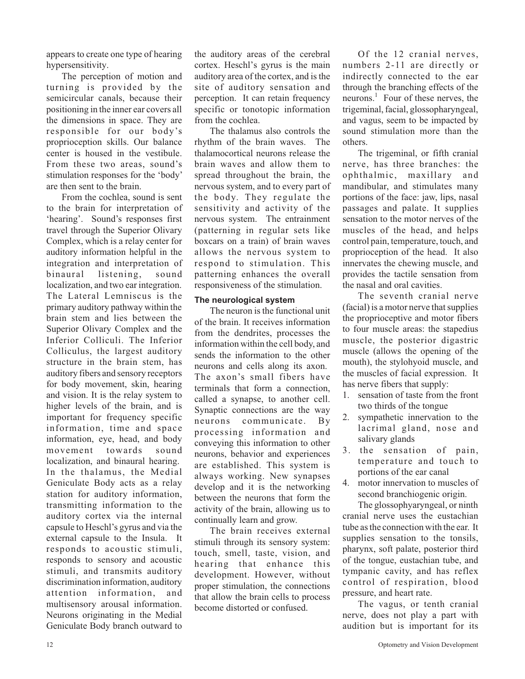appears to create one type of hearing hypersensitivity.

The perception of motion and turning is provided by the semicircular canals, because their positioning in the inner ear covers all the dimensions in space. They are responsible for our body's proprioception skills. Our balance center is housed in the vestibule. From these two areas, sound's stimulation responses for the 'body' are then sent to the brain.

From the cochlea, sound is sent to the brain for interpretation of 'hearing'. Sound's responses first travel through the Superior Olivary Complex, which is a relay center for auditory information helpful in the integration and interpretation of binaural listening, sound localization, and two ear integration. The Lateral Lemniscus is the primary auditory pathway within the brain stem and lies between the Superior Olivary Complex and the Inferior Colliculi. The Inferior Colliculus, the largest auditory structure in the brain stem, has auditory fibers and sensory receptors for body movement, skin, hearing and vision. It is the relay system to higher levels of the brain, and is important for frequency specific information, time and space information, eye, head, and body movement towards sound localization, and binaural hearing. In the thalamus, the Medial Geniculate Body acts as a relay station for auditory information, transmitting information to the auditory cortex via the internal capsule to Heschl's gyrus and via the external capsule to the Insula. It responds to acoustic stimuli, responds to sensory and acoustic stimuli, and transmits auditory discrimination information, auditory attention information, and multisensory arousal information. Neurons originating in the Medial Geniculate Body branch outward to

the auditory areas of the cerebral cortex. Heschl's gyrus is the main auditory area of the cortex, and is the site of auditory sensation and perception. It can retain frequency specific or tonotopic information from the cochlea.

The thalamus also controls the rhythm of the brain waves. The thalamocortical neurons release the brain waves and allow them to spread throughout the brain, the nervous system, and to every part of the body. They regulate the sensitivity and activity of the nervous system. The entrainment (patterning in regular sets like boxcars on a train) of brain waves allows the nervous system to respond to stimulation. This patterning enhances the overall responsiveness of the stimulation.

#### **The neurological system**

The neuron is the functional unit of the brain. It receives information from the dendrites, processes the information within the cell body, and sends the information to the other neurons and cells along its axon. The axon's small fibers have terminals that form a connection, called a synapse, to another cell. Synaptic connections are the way neurons communicate. By processing information and conveying this information to other neurons, behavior and experiences are established. This system is always working. New synapses develop and it is the networking between the neurons that form the activity of the brain, allowing us to continually learn and grow.

The brain receives external stimuli through its sensory system: touch, smell, taste, vision, and hearing that enhance this development. However, without proper stimulation, the connections that allow the brain cells to process become distorted or confused.

Of the 12 cranial nerves, numbers 2-11 are directly or indirectly connected to the ear through the branching effects of the neurons.<sup>1</sup> Four of these nerves, the trigeminal, facial, glossopharyngeal, and vagus, seem to be impacted by sound stimulation more than the others.

The trigeminal, or fifth cranial nerve, has three branches: the ophthalmic, maxillary and mandibular, and stimulates many portions of the face: jaw, lips, nasal passages and palate. It supplies sensation to the motor nerves of the muscles of the head, and helps control pain, temperature, touch, and proprioception of the head. It also innervates the chewing muscle, and provides the tactile sensation from the nasal and oral cavities.

The seventh cranial nerve (facial) is a motor nerve that supplies the proprioceptive and motor fibers to four muscle areas: the stapedius muscle, the posterior digastric muscle (allows the opening of the mouth), the stylohyoid muscle, and the muscles of facial expression. It has nerve fibers that supply:

- 1. sensation of taste from the front two thirds of the tongue
- 2. sympathetic innervation to the lacrimal gland, nose and salivary glands
- 3. the sensation of pain, temperature and touch to portions of the ear canal
- 4. motor innervation to muscles of second branchiogenic origin.

The glossophyaryngeal, or ninth cranial nerve uses the eustachian tube as the connection with the ear. It supplies sensation to the tonsils, pharynx, soft palate, posterior third of the tongue, eustachian tube, and tympanic cavity, and has reflex control of respiration, blood pressure, and heart rate.

The vagus, or tenth cranial nerve, does not play a part with audition but is important for its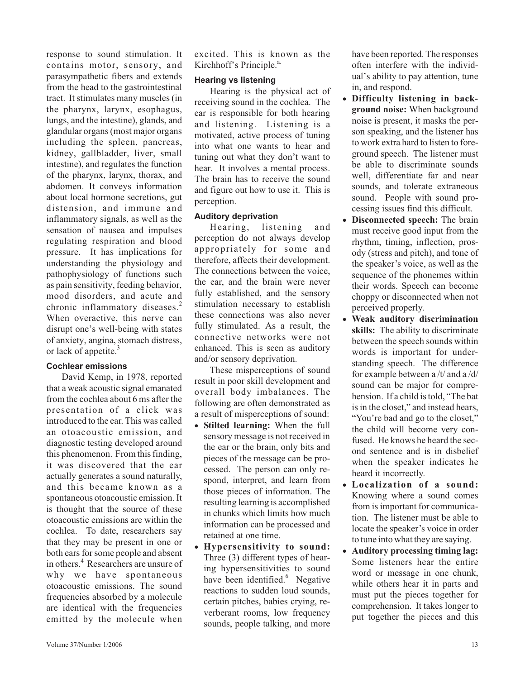response to sound stimulation. It contains motor, sensory, and parasympathetic fibers and extends from the head to the gastrointestinal tract. It stimulates many muscles (in the pharynx, larynx, esophagus, lungs, and the intestine), glands, and glandular organs (most major organs including the spleen, pancreas, kidney, gallbladder, liver, small intestine), and regulates the function of the pharynx, larynx, thorax, and abdomen. It conveys information about local hormone secretions, gut distension, and immune and inflammatory signals, as well as the sensation of nausea and impulses regulating respiration and blood pressure. It has implications for understanding the physiology and pathophysiology of functions such as pain sensitivity, feeding behavior, mood disorders, and acute and chronic inflammatory diseases.<sup>2</sup> When overactive, this nerve can disrupt one's well-being with states of anxiety, angina, stomach distress, or lack of appetite.<sup>3</sup>

#### **Cochlear emissions**

David Kemp, in 1978, reported that a weak acoustic signal emanated from the cochlea about 6 ms after the presentation of a click was introduced to the ear. This was called an otoacoustic emission, and diagnostic testing developed around this phenomenon. From this finding, it was discovered that the ear actually generates a sound naturally, and this became known as a spontaneous otoacoustic emission. It is thought that the source of these otoacoustic emissions are within the cochlea. To date, researchers say that they may be present in one or both ears for some people and absent in others.<sup>4</sup> Researchers are unsure of why we have spontaneous otoacoustic emissions. The sound frequencies absorbed by a molecule are identical with the frequencies emitted by the molecule when

excited. This is known as the Kirchhoff's Principle.<sup>a.</sup>

#### **Hearing vs listening**

Hearing is the physical act of receiving sound in the cochlea. The ear is responsible for both hearing and listening. Listening is a motivated, active process of tuning into what one wants to hear and tuning out what they don't want to hear. It involves a mental process. The brain has to receive the sound and figure out how to use it. This is perception.

#### **Auditory deprivation**

Hearing, listening and perception do not always develop appropriately for some and therefore, affects their development. The connections between the voice, the ear, and the brain were never fully established, and the sensory stimulation necessary to establish these connections was also never fully stimulated. As a result, the connective networks were not enhanced. This is seen as auditory and/or sensory deprivation.

These misperceptions of sound result in poor skill development and overall body imbalances. The following are often demonstrated as a result of misperceptions of sound:

- **Stilted learning:** When the full sensory message is not received in the ear or the brain, only bits and pieces of the message can be processed. The person can only respond, interpret, and learn from those pieces of information. The resulting learning is accomplished in chunks which limits how much information can be processed and retained at one time.
- **Hypersensitivity to sound:** Three (3) different types of hearing hypersensitivities to sound have been identified.<sup>6</sup> Negative reactions to sudden loud sounds, certain pitches, babies crying, reverberant rooms, low frequency sounds, people talking, and more

have been reported. The responses often interfere with the individual's ability to pay attention, tune in, and respond.

- **Difficulty listening in background noise:** When background noise is present, it masks the person speaking, and the listener has to work extra hard to listen to foreground speech. The listener must be able to discriminate sounds well, differentiate far and near sounds, and tolerate extraneous sound. People with sound processing issues find this difficult.
- **Disconnected speech:** The brain must receive good input from the rhythm, timing, inflection, prosody (stress and pitch), and tone of the speaker's voice, as well as the sequence of the phonemes within their words. Speech can become choppy or disconnected when not perceived properly.
- **Weak auditory discrimination skills:** The ability to discriminate between the speech sounds within words is important for understanding speech. The difference for example between a /t/ and a /d/ sound can be major for comprehension. If a child is told, "The bat is in the closet," and instead hears, "You're bad and go to the closet," the child will become very confused. He knows he heard the second sentence and is in disbelief when the speaker indicates he heard it incorrectly.
- **Localization of a sound:** Knowing where a sound comes from is important for communication. The listener must be able to locate the speaker's voice in order to tune into what they are saying.
- **Auditory processing timing lag:** Some listeners hear the entire word or message in one chunk, while others hear it in parts and must put the pieces together for comprehension. It takes longer to put together the pieces and this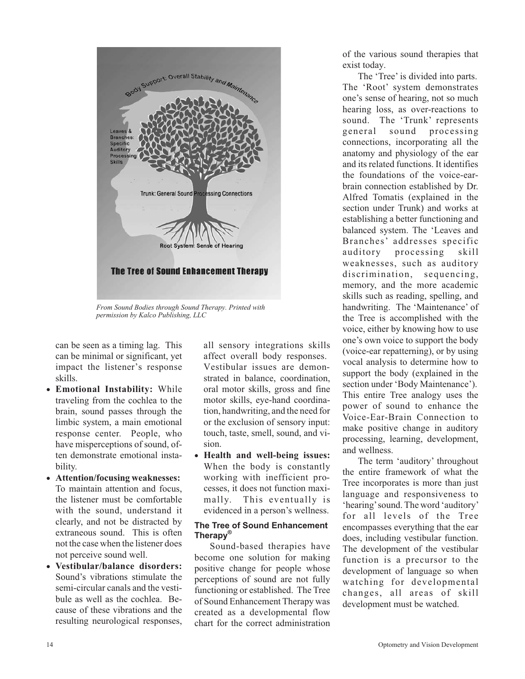

*From Sound Bodies through Sound Therapy. Printed with permission by Kalco Publishing, LLC*

can be seen as a timing lag. This can be minimal or significant, yet impact the listener's response skills.

- **Emotional Instability:** While traveling from the cochlea to the brain, sound passes through the limbic system, a main emotional response center. People, who have misperceptions of sound, often demonstrate emotional instability.
- **Attention/focusing weaknesses:** To maintain attention and focus, the listener must be comfortable with the sound, understand it clearly, and not be distracted by extraneous sound. This is often not the case when the listener does not perceive sound well.
- **Vestibular/balance disorders:** Sound's vibrations stimulate the semi-circular canals and the vestibule as well as the cochlea. Because of these vibrations and the resulting neurological responses,

all sensory integrations skills affect overall body responses. Vestibular issues are demonstrated in balance, coordination, oral motor skills, gross and fine motor skills, eye-hand coordination, handwriting, and the need for or the exclusion of sensory input: touch, taste, smell, sound, and vision.

- **Health and well-being issues:** When the body is constantly working with inefficient processes, it does not function maximally. This eventually is evidenced in a person's wellness.

#### **The Tree of Sound Enhancement Therapy®**

Sound-based therapies have become one solution for making positive change for people whose perceptions of sound are not fully functioning or established. The Tree of Sound Enhancement Therapy was created as a developmental flow chart for the correct administration of the various sound therapies that exist today.

The 'Tree' is divided into parts. The 'Root' system demonstrates one's sense of hearing, not so much hearing loss, as over-reactions to sound. The 'Trunk' represents general sound processing connections, incorporating all the anatomy and physiology of the ear and its related functions. It identifies the foundations of the voice-earbrain connection established by Dr. Alfred Tomatis (explained in the section under Trunk) and works at establishing a better functioning and balanced system. The 'Leaves and Branches' addresses specific auditory processing skill weaknesses, such as auditory discrimination, sequencing, memory, and the more academic skills such as reading, spelling, and handwriting. The 'Maintenance' of the Tree is accomplished with the voice, either by knowing how to use one's own voice to support the body (voice-ear repatterning), or by using vocal analysis to determine how to support the body (explained in the section under 'Body Maintenance'). This entire Tree analogy uses the power of sound to enhance the Voice-Ear-Brain Connection to make positive change in auditory processing, learning, development, and wellness.

The term 'auditory' throughout the entire framework of what the Tree incorporates is more than just language and responsiveness to 'hearing'sound. The word 'auditory' for all levels of the Tree encompasses everything that the ear does, including vestibular function. The development of the vestibular function is a precursor to the development of language so when watching for developmental changes, all areas of skill development must be watched.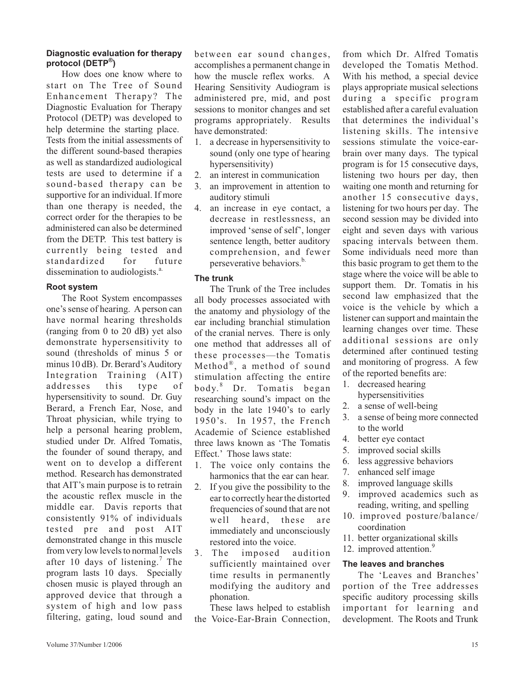#### **Diagnostic evaluation for therapy protocol (DETP®)**

How does one know where to start on The Tree of Sound Enhancement Therapy? The Diagnostic Evaluation for Therapy Protocol (DETP) was developed to help determine the starting place. Tests from the initial assessments of the different sound-based therapies as well as standardized audiological tests are used to determine if a sound-based therapy can be supportive for an individual. If more than one therapy is needed, the correct order for the therapies to be administered can also be determined from the DETP. This test battery is currently being tested and standardized for future dissemination to audiologists.<sup>a.</sup>

## **Root system**

The Root System encompasses one's sense of hearing. A person can have normal hearing thresholds (ranging from 0 to 20 dB) yet also demonstrate hypersensitivity to sound (thresholds of minus 5 or minus 10 dB). Dr. Berard's Auditory Integration Training (AIT) addresses this type of hypersensitivity to sound. Dr. Guy Berard, a French Ear, Nose, and Throat physician, while trying to help a personal hearing problem, studied under Dr. Alfred Tomatis, the founder of sound therapy, and went on to develop a different method. Research has demonstrated that AIT's main purpose is to retrain the acoustic reflex muscle in the middle ear. Davis reports that consistently 91% of individuals tested pre and post AIT demonstrated change in this muscle from very low levels to normal levels after 10 days of listening.<sup>7</sup> The program lasts 10 days. Specially chosen music is played through an approved device that through a system of high and low pass filtering, gating, loud sound and between ear sound changes, accomplishes a permanent change in how the muscle reflex works. A Hearing Sensitivity Audiogram is administered pre, mid, and post sessions to monitor changes and set programs appropriately. Results have demonstrated:

- 1. a decrease in hypersensitivity to sound (only one type of hearing hypersensitivity)
- 2. an interest in communication
- 3. an improvement in attention to auditory stimuli
- 4. an increase in eye contact, a decrease in restlessness, an improved 'sense of self', longer sentence length, better auditory comprehension, and fewer perseverative behaviors.<sup>b.</sup>

#### **The trunk**

The Trunk of the Tree includes all body processes associated with the anatomy and physiology of the ear including branchial stimulation of the cranial nerves. There is only one method that addresses all of these processes—the Tomatis Method®, a method of sound stimulation affecting the entire body. <sup>8</sup> Dr. Tomatis began researching sound's impact on the body in the late 1940's to early 1950's. In 1957, the French Academie of Science established three laws known as 'The Tomatis Effect.' Those laws state:

- 1. The voice only contains the harmonics that the ear can hear.
- 2. If you give the possibility to the ear to correctly hear the distorted frequencies of sound that are not well heard, these are immediately and unconsciously restored into the voice.
- 3. The imposed audition sufficiently maintained over time results in permanently modifying the auditory and phonation.

These laws helped to establish the Voice-Ear-Brain Connection, from which Dr. Alfred Tomatis developed the Tomatis Method. With his method, a special device plays appropriate musical selections during a specific program established after a careful evaluation that determines the individual's listening skills. The intensive sessions stimulate the voice-earbrain over many days. The typical program is for 15 consecutive days, listening two hours per day, then waiting one month and returning for another 15 consecutive days, listening for two hours per day. The second session may be divided into eight and seven days with various spacing intervals between them. Some individuals need more than this basic program to get them to the stage where the voice will be able to support them. Dr. Tomatis in his second law emphasized that the voice is the vehicle by which a listener can support and maintain the learning changes over time. These additional sessions are only determined after continued testing and monitoring of progress. A few of the reported benefits are:

- 1. decreased hearing hypersensitivities
- 2. a sense of well-being
- 3. a sense of being more connected to the world
- 4. better eye contact
- 5. improved social skills
- 6. less aggressive behaviors
- 7. enhanced self image
- 8. improved language skills
- 9. improved academics such as reading, writing, and spelling
- 10. improved posture/balance/ coordination
- 11. better organizational skills
- 12. improved attention.<sup>9</sup>

#### **The leaves and branches**

The 'Leaves and Branches' portion of the Tree addresses specific auditory processing skills important for learning and development. The Roots and Trunk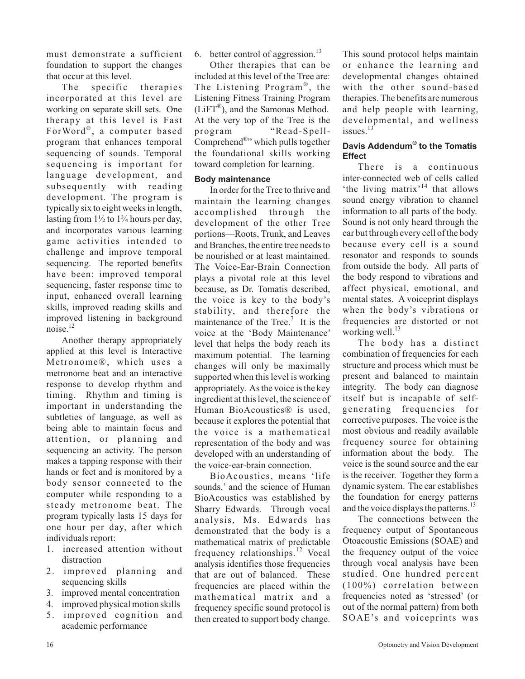must demonstrate a sufficient foundation to support the changes that occur at this level.

The specific therapies incorporated at this level are working on separate skill sets. One therapy at this level is Fast ForWord®, a computer based program that enhances temporal sequencing of sounds. Temporal sequencing is important for language development, and subsequently with reading development. The program is typically six to eight weeks in length, lasting from  $1\frac{1}{2}$  to  $1\frac{3}{4}$  hours per day, and incorporates various learning game activities intended to challenge and improve temporal sequencing. The reported benefits have been: improved temporal sequencing, faster response time to input, enhanced overall learning skills, improved reading skills and improved listening in background noise. $^{12}$ 

Another therapy appropriately applied at this level is Interactive Metronome®, which uses a metronome beat and an interactive response to develop rhythm and timing. Rhythm and timing is important in understanding the subtleties of language, as well as being able to maintain focus and attention, or planning and sequencing an activity. The person makes a tapping response with their hands or feet and is monitored by a body sensor connected to the computer while responding to a steady metronome beat. The program typically lasts 15 days for one hour per day, after which individuals report:

- 1. increased attention without distraction
- 2. improved planning and sequencing skills
- 3. improved mental concentration
- 4. improved physical motion skills
- 5. improved cognition and academic performance

6. better control of aggression. $^{13}$ 

Other therapies that can be included at this level of the Tree are: The Listening Program®, the Listening Fitness Training Program (LiFT®), and the Samonas Method. At the very top of the Tree is the program "Read-Spell-Comprehend®" which pulls together the foundational skills working toward completion for learning.

## **Body maintenance**

In order for the Tree to thrive and maintain the learning changes accomplished through the development of the other Tree portions—Roots, Trunk, and Leaves and Branches, the entire tree needs to be nourished or at least maintained. The Voice-Ear-Brain Connection plays a pivotal role at this level because, as Dr. Tomatis described, the voice is key to the body's stability, and therefore the maintenance of the Tree.<sup>7</sup> It is the voice at the 'Body Maintenance' level that helps the body reach its maximum potential. The learning changes will only be maximally supported when this level is working appropriately. As the voice is the key ingredient at this level, the science of Human BioAcoustics® is used, because it explores the potential that the voice is a mathematical representation of the body and was developed with an understanding of the voice-ear-brain connection.

BioAcoustics, means 'life sounds,' and the science of Human BioAcoustics was established by Sharry Edwards. Through vocal analysis, Ms. Edwards has demonstrated that the body is a mathematical matrix of predictable frequency relationships.<sup>12</sup> Vocal analysis identifies those frequencies that are out of balanced. These frequencies are placed within the mathematical matrix and a frequency specific sound protocol is then created to support body change.

This sound protocol helps maintain or enhance the learning and developmental changes obtained with the other sound-based therapies. The benefits are numerous and help people with learning, developmental, and wellness  $is sues.$ <sup>13</sup>

## **Davis Addendum® to the Tomatis Effect**

There is a continuous inter-connected web of cells called 'the living matrix'<sup>14</sup> that allows sound energy vibration to channel information to all parts of the body. Sound is not only heard through the ear but through every cell of the body because every cell is a sound resonator and responds to sounds from outside the body. All parts of the body respond to vibrations and affect physical, emotional, and mental states. A voiceprint displays when the body's vibrations or frequencies are distorted or not working well. $^{13}$ 

The body has a distinct combination of frequencies for each structure and process which must be present and balanced to maintain integrity. The body can diagnose itself but is incapable of selfgenerating frequencies for corrective purposes. The voice is the most obvious and readily available frequency source for obtaining information about the body. The voice is the sound source and the ear is the receiver. Together they form a dynamic system. The ear establishes the foundation for energy patterns and the voice displays the patterns.<sup>13</sup>

The connections between the frequency output of Spontaneous Otoacoustic Emissions (SOAE) and the frequency output of the voice through vocal analysis have been studied. One hundred percent (100%) correlation between frequencies noted as 'stressed' (or out of the normal pattern) from both SOAE's and voiceprints was